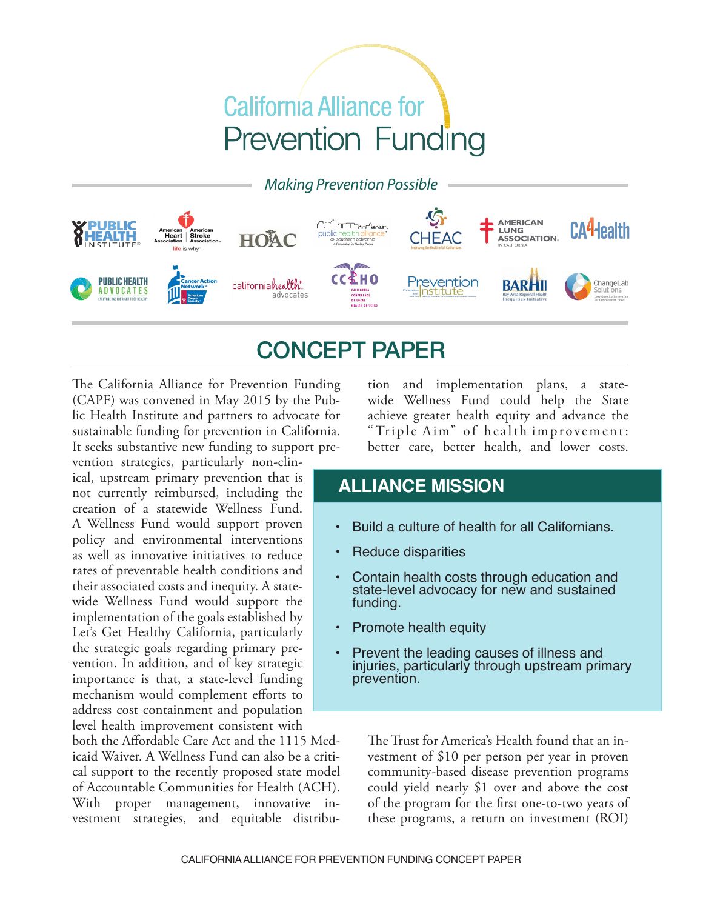# **California Alliance for Prevention Funding**

*Making Prevention Possible*



## CONCEPT PAPER

The California Alliance for Prevention Funding (CAPF) was convened in May 2015 by the Public Health Institute and partners to advocate for sustainable funding for prevention in California. It seeks substantive new funding to support prevention strategies, particularly non-clin-

ical, upstream primary prevention that is not currently reimbursed, including the creation of a statewide Wellness Fund. A Wellness Fund would support proven policy and environmental interventions as well as innovative initiatives to reduce rates of preventable health conditions and their associated costs and inequity. A statewide Wellness Fund would support the implementation of the goals established by Let's Get Healthy California, particularly the strategic goals regarding primary prevention. In addition, and of key strategic importance is that, a state-level funding mechanism would complement efforts to address cost containment and population level health improvement consistent with

both the Afordable Care Act and the 1115 Medicaid Waiver. A Wellness Fund can also be a critical support to the recently proposed state model of Accountable Communities for Health (ACH). With proper management, innovative investment strategies, and equitable distribution and implementation plans, a statewide Wellness Fund could help the State achieve greater health equity and advance the "Triple Aim" of health improvement: better care, better health, and lower costs.

### **ALLIANCE MISSION**

- Build a culture of health for all Californians.
- **Reduce disparities**
- Contain health costs through education and state-level advocacy for new and sustained funding.
- Promote health equity
- Prevent the leading causes of illness and injuries, particularly through upstream primary prevention.

The Trust for America's Health found that an investment of \$10 per person per year in proven community-based disease prevention programs could yield nearly \$1 over and above the cost of the program for the frst one-to-two years of these programs, a return on investment (ROI)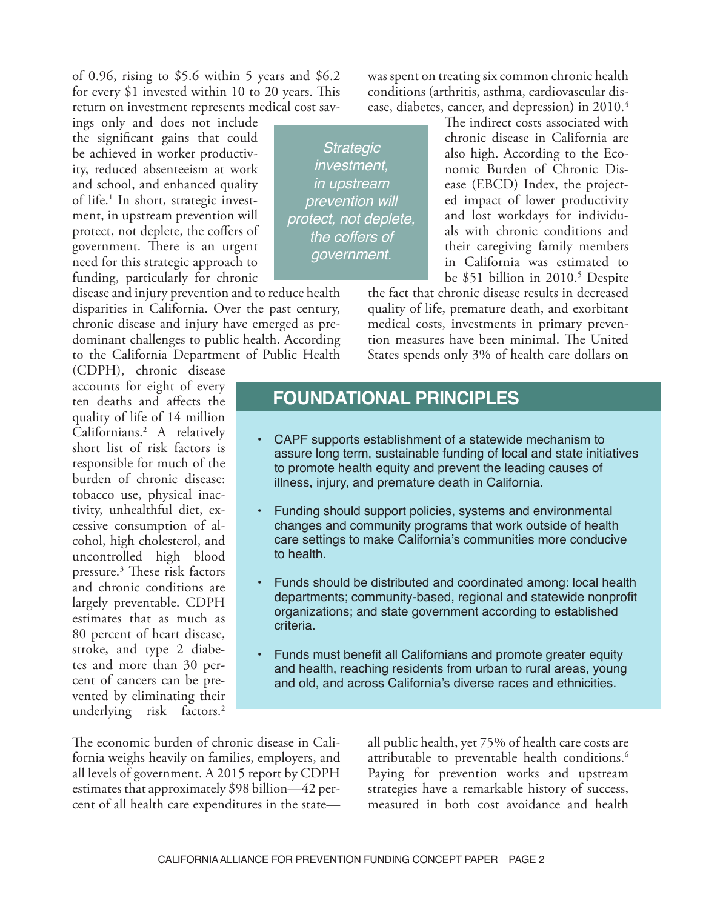of 0.96, rising to  $$5.6$  within 5 years and  $$6.2$ for every  $$1$  invested within 10 to 20 years. This return on investment represents medical cost sav-

ings only and does not include the signifcant gains that could be achieved in worker productivity, reduced absenteeism at work and school, and enhanced quality of life.<sup>1</sup> In short, strategic investment, in upstream prevention will protect, not deplete, the coffers of government. There is an urgent need for this strategic approach to funding, particularly for chronic

disease and injury prevention and to reduce health disparities in California. Over the past century, chronic disease and injury have emerged as predominant challenges to public health. According to the California Department of Public Health

(CDPH), chronic disease accounts for eight of every ten deaths and afects the quality of life of 14 million Californians.2 A relatively short list of risk factors is responsible for much of the burden of chronic disease: tobacco use, physical inactivity, unhealthful diet, excessive consumption of alcohol, high cholesterol, and uncontrolled high blood pressure.<sup>3</sup> These risk factors and chronic conditions are largely preventable. CDPH estimates that as much as 80 percent of heart disease, stroke, and type 2 diabetes and more than 30 percent of cancers can be prevented by eliminating their underlying risk factors.<sup>2</sup>

conditions (arthritis, asthma, cardiovascular disease, diabetes, cancer, and depression) in 2010.<sup>4</sup> The indirect costs associated with *Strategic* 

chronic disease in California are also high. According to the Economic Burden of Chronic Disease (EBCD) Index, the projected impact of lower productivity and lost workdays for individuals with chronic conditions and their caregiving family members in California was estimated to be \$51 billion in 2010.<sup>5</sup> Despite

the fact that chronic disease results in decreased quality of life, premature death, and exorbitant medical costs, investments in primary prevention measures have been minimal. The United States spends only 3% of health care dollars on

was spent on treating six common chronic health

#### **FOUNDATIONAL PRINCIPLES**

*investment, in upstream prevention will protect, not deplete, the coffers of government.*

- CAPF supports establishment of a statewide mechanism to assure long term, sustainable funding of local and state initiatives to promote health equity and prevent the leading causes of illness, injury, and premature death in California.
- Funding should support policies, systems and environmental changes and community programs that work outside of health care settings to make California's communities more conducive to health.
- Funds should be distributed and coordinated among: local health departments; community-based, regional and statewide nonprofit organizations; and state government according to established criteria.
- Funds must benefit all Californians and promote greater equity and health, reaching residents from urban to rural areas, young and old, and across California's diverse races and ethnicities.

The economic burden of chronic disease in California weighs heavily on families, employers, and all levels of government. A 2015 report by CDPH estimates that approximately \$98 billion—42 percent of all health care expenditures in the stateall public health, yet 75% of health care costs are attributable to preventable health conditions.<sup>6</sup> Paying for prevention works and upstream strategies have a remarkable history of success, measured in both cost avoidance and health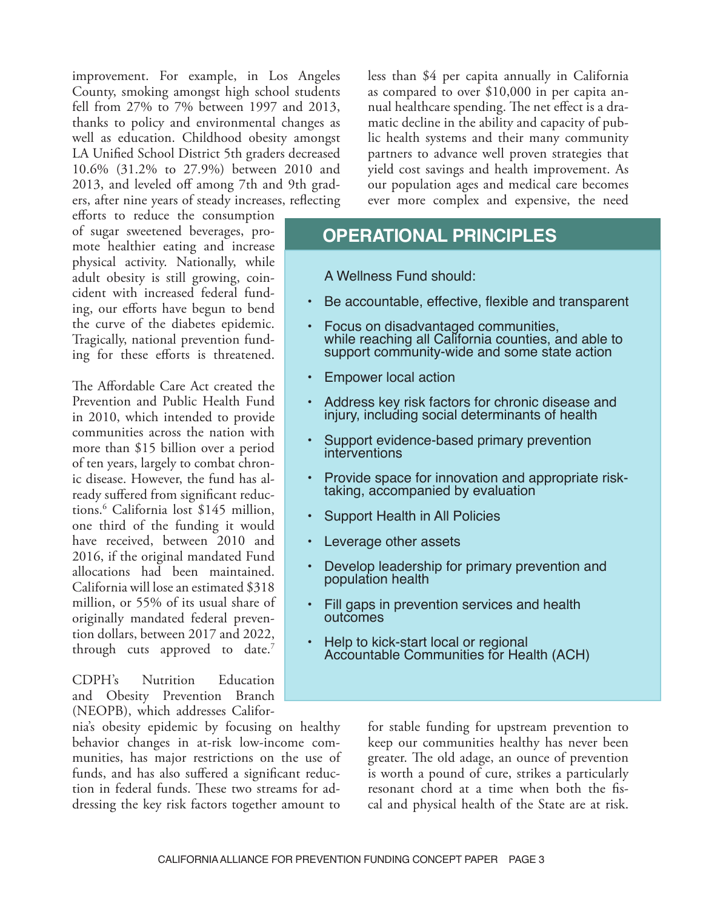improvement. For example, in Los Angeles County, smoking amongst high school students fell from 27% to 7% between 1997 and 2013, thanks to policy and environmental changes as well as education. Childhood obesity amongst LA Unifed School District 5th graders decreased 10.6% (31.2% to 27.9%) between 2010 and 2013, and leveled off among 7th and 9th graders, after nine years of steady increases, refecting

eforts to reduce the consumption of sugar sweetened beverages, promote healthier eating and increase physical activity. Nationally, while adult obesity is still growing, coincident with increased federal funding, our efforts have begun to bend the curve of the diabetes epidemic. Tragically, national prevention funding for these eforts is threatened.

The Affordable Care Act created the Prevention and Public Health Fund in 2010, which intended to provide communities across the nation with more than \$15 billion over a period of ten years, largely to combat chronic disease. However, the fund has already sufered from signifcant reductions.6 California lost \$145 million, one third of the funding it would have received, between 2010 and 2016, if the original mandated Fund allocations had been maintained. California will lose an estimated \$318 million, or 55% of its usual share of originally mandated federal prevention dollars, between 2017 and 2022, through cuts approved to date.<sup>7</sup>

CDPH's Nutrition Education and Obesity Prevention Branch (NEOPB), which addresses Califor-

nia's obesity epidemic by focusing on healthy behavior changes in at-risk low-income communities, has major restrictions on the use of funds, and has also sufered a signifcant reduction in federal funds. These two streams for addressing the key risk factors together amount to

less than \$4 per capita annually in California as compared to over \$10,000 in per capita annual healthcare spending. The net effect is a dramatic decline in the ability and capacity of public health systems and their many community partners to advance well proven strategies that yield cost savings and health improvement. As our population ages and medical care becomes ever more complex and expensive, the need

#### **OPERATIONAL PRINCIPLES**

 A Wellness Fund should:

- Be accountable, effective, flexible and transparent
- • Focus on disadvantaged communities, while reaching all California counties, and able to support community-wide and some state action
- **Empower local action**
- Address key risk factors for chronic disease and injury, including social determinants of health
- Support evidence-based primary prevention<br>interventions
- Provide space for innovation and appropriate risktaking, accompanied by evaluation
- Support Health in All Policies
- Leverage other assets
- Develop leadership for primary prevention and population health
- Fill gaps in prevention services and health outcomes
- Help to kick-start local or regional<br>Accountable Communities for Health (ACH)

for stable funding for upstream prevention to keep our communities healthy has never been greater. The old adage, an ounce of prevention is worth a pound of cure, strikes a particularly resonant chord at a time when both the fscal and physical health of the State are at risk.